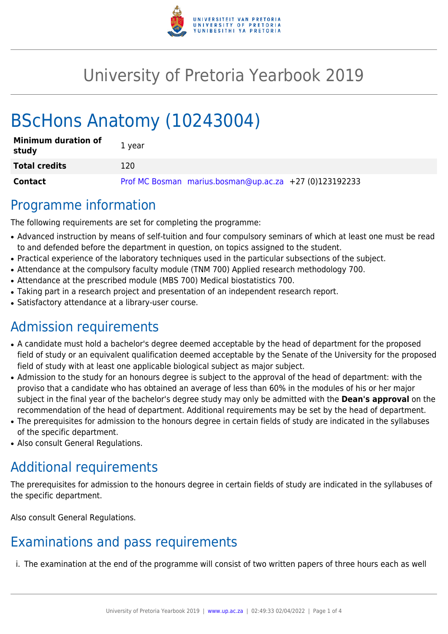

# University of Pretoria Yearbook 2019

# BScHons Anatomy (10243004)

| <b>Minimum duration of</b><br>study | 1 year                                                 |
|-------------------------------------|--------------------------------------------------------|
| <b>Total credits</b>                | 120                                                    |
| Contact                             | Prof MC Bosman marius.bosman@up.ac.za +27 (0)123192233 |

# Programme information

The following requirements are set for completing the programme:

- Advanced instruction by means of self-tuition and four compulsory seminars of which at least one must be read to and defended before the department in question, on topics assigned to the student.
- Practical experience of the laboratory techniques used in the particular subsections of the subject.
- Attendance at the compulsory faculty module (TNM 700) Applied research methodology 700.
- Attendance at the prescribed module (MBS 700) Medical biostatistics 700.
- Taking part in a research project and presentation of an independent research report.
- Satisfactory attendance at a library-user course.

# Admission requirements

- A candidate must hold a bachelor's degree deemed acceptable by the head of department for the proposed field of study or an equivalent qualification deemed acceptable by the Senate of the University for the proposed field of study with at least one applicable biological subject as major subject.
- Admission to the study for an honours degree is subject to the approval of the head of department: with the proviso that a candidate who has obtained an average of less than 60% in the modules of his or her major subject in the final year of the bachelor's degree study may only be admitted with the **Dean's approval** on the recommendation of the head of department. Additional requirements may be set by the head of department.
- The prerequisites for admission to the honours degree in certain fields of study are indicated in the syllabuses of the specific department.
- Also consult General Regulations.

# Additional requirements

The prerequisites for admission to the honours degree in certain fields of study are indicated in the syllabuses of the specific department.

Also consult General Regulations.

# Examinations and pass requirements

i. The examination at the end of the programme will consist of two written papers of three hours each as well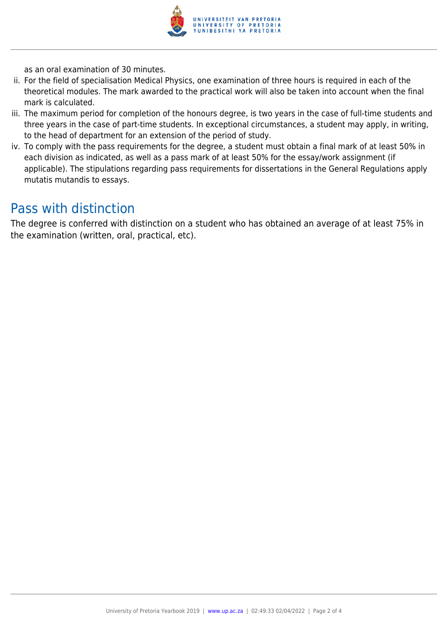

as an oral examination of 30 minutes.

- ii. For the field of specialisation Medical Physics, one examination of three hours is required in each of the theoretical modules. The mark awarded to the practical work will also be taken into account when the final mark is calculated.
- iii. The maximum period for completion of the honours degree, is two years in the case of full-time students and three years in the case of part-time students. In exceptional circumstances, a student may apply, in writing, to the head of department for an extension of the period of study.
- iv. To comply with the pass requirements for the degree, a student must obtain a final mark of at least 50% in each division as indicated, as well as a pass mark of at least 50% for the essay/work assignment (if applicable). The stipulations regarding pass requirements for dissertations in the General Regulations apply mutatis mutandis to essays.

## Pass with distinction

The degree is conferred with distinction on a student who has obtained an average of at least 75% in the examination (written, oral, practical, etc).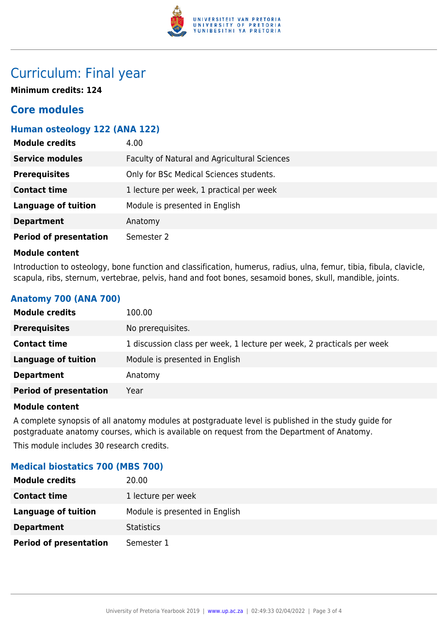

## Curriculum: Final year

**Minimum credits: 124**

## **Core modules**

## **Human osteology 122 (ANA 122)**

| <b>Module credits</b>         | 4.00                                         |
|-------------------------------|----------------------------------------------|
| <b>Service modules</b>        | Faculty of Natural and Agricultural Sciences |
| <b>Prerequisites</b>          | Only for BSc Medical Sciences students.      |
| <b>Contact time</b>           | 1 lecture per week, 1 practical per week     |
| <b>Language of tuition</b>    | Module is presented in English               |
| <b>Department</b>             | Anatomy                                      |
| <b>Period of presentation</b> | Semester 2                                   |

#### **Module content**

Introduction to osteology, bone function and classification, humerus, radius, ulna, femur, tibia, fibula, clavicle, scapula, ribs, sternum, vertebrae, pelvis, hand and foot bones, sesamoid bones, skull, mandible, joints.

## **Anatomy 700 (ANA 700)**

| 100.00                                                                 |
|------------------------------------------------------------------------|
| No prerequisites.                                                      |
| 1 discussion class per week, 1 lecture per week, 2 practicals per week |
| Module is presented in English                                         |
| Anatomy                                                                |
| Year                                                                   |
|                                                                        |

### **Module content**

A complete synopsis of all anatomy modules at postgraduate level is published in the study guide for postgraduate anatomy courses, which is available on request from the Department of Anatomy. This module includes 30 research credits.

### **Medical biostatics 700 (MBS 700)**

| <b>Module credits</b>         | 20.00                          |
|-------------------------------|--------------------------------|
| <b>Contact time</b>           | 1 lecture per week             |
| Language of tuition           | Module is presented in English |
| <b>Department</b>             | <b>Statistics</b>              |
| <b>Period of presentation</b> | Semester 1                     |